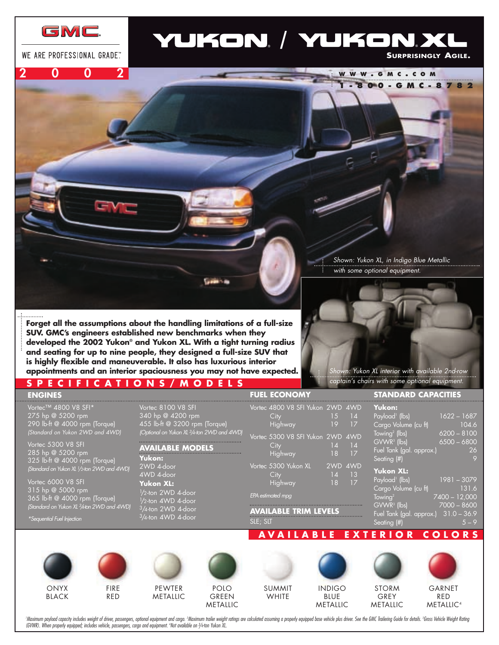

WE ARE PROFESSIONAL GRADE"

**2002**

# YUKON, / YUKON, XI

**SURPRISINGLY AGILE.**

**1-800-GMC-8782**

**WWW . GMC . COM**

**Forget all the assumptions about the handling limitations of a full-size SUV. GMC's engineers established new benchmarks when they developed the 2002 Yukon® and Yukon XL. With a tight turning radius and seating for up to nine people, they designed a full-size SUV that is highly flexible and maneuverable. It also has luxurious interior appointments and an interior spaciousness you may not have expected.** 

### **SPECIFICATIONS/MODELS**

**ENGINES**

Vortec™ 4800 V8 SFI\* 275 hp @ 5200 rpm 290 lb-ft @ 4000 rpm (Torque) *(Standard on Yukon 2WD and 4WD)*

Vortec 5300 V8 SFI 285 hp @ 5200 rpm 325 lb-ft @ 4000 rpm (Torque) *(Standard on Yukon XL 1/2-ton 2WD* 

Vortec 6000 V8 SFI 315 hp @ 5000 rpm 365 lb-ft @ 4000 rpm (Torque) *(Standard on Yukon XL 3/4-ton 2WD and 4WD)*

*\*Sequential Fuel Injection*



*Shown: Yukon XL, in Indigo Blue Metallic* 

*with some optional equipment.* 

*Shown: Yukon XL interior with available 2nd-row captain's chairs with some optional equipment.* 

|                             |                                                                                                                        | <b>FUEL ECONOMY</b>                                                                                              | <b>STANDARD CAPACITIES</b>                                                                                                           |
|-----------------------------|------------------------------------------------------------------------------------------------------------------------|------------------------------------------------------------------------------------------------------------------|--------------------------------------------------------------------------------------------------------------------------------------|
| (eر<br>(WDI                 | Vortec 8100 V8 SFI<br>340 hp @ 4200 rpm<br>455 lb-ft @ 3200 rpm (Torque)<br>(Optional on Yukon XL 3/4-ton 2WD and 4WD) | Vortec 4800 V8 SFI Yukon 2WD 4WD<br>City<br>15<br> 4 <br>Highway<br>19<br>17<br>Vortec 5300 V8 SFI Yukon 2WD 4WD | Yukon:<br>Payload <sup>1</sup> (lbs)<br>$1622 - 1687$<br>Cargo Volume (cu ft)<br>104.6<br>Towing <sup>2</sup> (lbs)<br>$6200 - 8100$ |
| Je)                         | <b>AVAILABLE MODELS</b><br>Yukon:                                                                                      | City<br>$\overline{14}$<br>$\overline{14}$<br>Highway<br>18<br>17                                                | $GVWR^3$ (lbs)<br>$6500 - 6800$<br>Fuel Tank (gal. approx.)<br>26<br>Seating (#)                                                     |
| and $4\overline{\text{WD}}$ | 2WD 4-door<br>4WD 4-door<br><b>Yukon XL:</b>                                                                           | Vortec 5300 Yukon XL<br>2WD 4WD<br>14<br>$\overline{13}$<br>City<br>17<br><b>Highway</b><br>18                   | <b>Yukon XL:</b><br>Payload <sup>1</sup> (lbs)<br>$1981 - 3079$                                                                      |
| je)<br>and $4WD$            | 1/2-ton 2WD 4-door<br>1/2-ton 4WD 4-door<br>$3/4$ -ton 2WD 4-door<br>3/4-ton 4WD 4-door                                | EPA estimated mpg                                                                                                | Cargo Volume (cu ft)<br>131.6<br>$T_{\rm owing}^2$<br>7400 - 12,000<br>$GVWR3$ (lbs)<br>$7000 - 8600$                                |
|                             |                                                                                                                        | <b>AVAILABLE TRIM LEVELS</b><br>SLE; SLT                                                                         | Fuel Tank (gal. approx.) 31.0 - 36.9<br>Seating (#)<br>$5 - 9$                                                                       |
|                             |                                                                                                                        |                                                                                                                  | <b>AVAILABLE EXTERIOR COLORS</b>                                                                                                     |
|                             |                                                                                                                        |                                                                                                                  |                                                                                                                                      |



BLACK



FIRE RED

PEWTER METALLIC

POLO GREEN

**START SIDE** 

METALLIC



INDIGO BLUE METALLIC

STORM GREY

METALLIC



GARNET RED METALLIC4

'Maximum payload capacity includes weight of driver, passengers, optional equipment and cargo. 'Maximum trailer weight ratings are calculated assuming a properly equipped base vehicle plus driver. See the GMC Trailering Gu *(GVWR). When properly equipped; includes vehicle, passengers, cargo and equipment. 4 Not available on 3 /4-ton Yukon XL.*